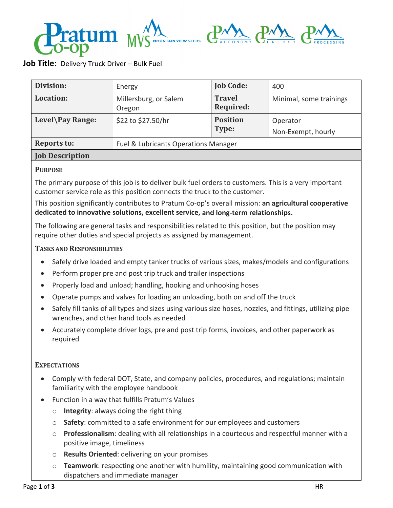# $\mathbf{D}\Lambda$   $\mathbf{D}\Lambda$ **APPELUTIN MAIN VIEW SEEDS**

# **Job Title:** Delivery Truck Driver – Bulk Fuel

| Division:              | Energy                               | <b>Job Code:</b>                  | 400                            |  |  |
|------------------------|--------------------------------------|-----------------------------------|--------------------------------|--|--|
| Location:              | Millersburg, or Salem<br>Oregon      | <b>Travel</b><br><b>Required:</b> | Minimal, some trainings        |  |  |
| Level\Pay Range:       | \$22 to \$27.50/hr                   | <b>Position</b><br>Type:          | Operator<br>Non-Exempt, hourly |  |  |
| <b>Reports to:</b>     | Fuel & Lubricants Operations Manager |                                   |                                |  |  |
| <b>Job Description</b> |                                      |                                   |                                |  |  |

## **PURPOSE**

The primary purpose of this job is to deliver bulk fuel orders to customers. This is a very important customer service role as this position connects the truck to the customer.

This position significantly contributes to Pratum Co‐op's overall mission: **an agricultural cooperative dedicated to innovative solutions, excellent service, and long‐term relationships.**

The following are general tasks and responsibilities related to this position, but the position may require other duties and special projects as assigned by management.

## **TASKS AND RESPONSIBILITIES**

- Safely drive loaded and empty tanker trucks of various sizes, makes/models and configurations
- Perform proper pre and post trip truck and trailer inspections
- Properly load and unload; handling, hooking and unhooking hoses
- Operate pumps and valves for loading an unloading, both on and off the truck
- Safely fill tanks of all types and sizes using various size hoses, nozzles, and fittings, utilizing pipe wrenches, and other hand tools as needed
- Accurately complete driver logs, pre and post trip forms, invoices, and other paperwork as required

## **EXPECTATIONS**

- Comply with federal DOT, State, and company policies, procedures, and regulations; maintain familiarity with the employee handbook
- Function in a way that fulfills Pratum's Values
	- o **Integrity**: always doing the right thing
	- o **Safety**: committed to a safe environment for our employees and customers
	- o **Professionalism**: dealing with all relationships in a courteous and respectful manner with a positive image, timeliness
	- o **Results Oriented**: delivering on your promises
	- o **Teamwork**: respecting one another with humility, maintaining good communication with dispatchers and immediate manager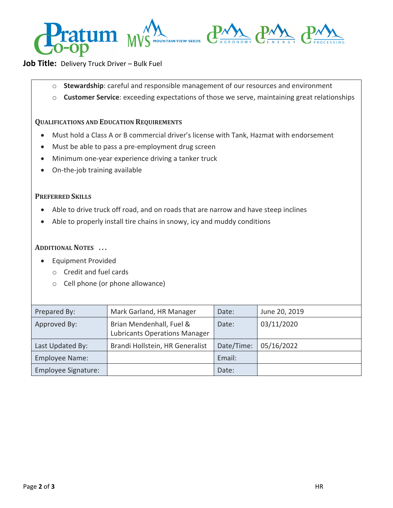

## **Job Title:** Delivery Truck Driver – Bulk Fuel

- o **Stewardship**: careful and responsible management of our resources and environment
- o **Customer Service**: exceeding expectations of those we serve, maintaining great relationships

### **QUALIFICATIONS AND EDUCATION REQUIREMENTS**

- Must hold a Class A or B commercial driver's license with Tank, Hazmat with endorsement
- Must be able to pass a pre-employment drug screen
- Minimum one-year experience driving a tanker truck
- On-the-job training available

#### **PREFERRED SKILLS**

- Able to drive truck off road, and on roads that are narrow and have steep inclines
- Able to properly install tire chains in snowy, icy and muddy conditions

## **ADDITIONAL NOTES** *. . .*

- **•** Equipment Provided
	- o Credit and fuel cards
	- o Cell phone (or phone allowance)

| Prepared By:               | Mark Garland, HR Manager                                         | Date:      | June 20, 2019 |
|----------------------------|------------------------------------------------------------------|------------|---------------|
| Approved By:               | Brian Mendenhall, Fuel &<br><b>Lubricants Operations Manager</b> | Date:      | 03/11/2020    |
| Last Updated By:           | Brandi Hollstein, HR Generalist                                  | Date/Time: | 05/16/2022    |
| <b>Employee Name:</b>      |                                                                  | Email:     |               |
| <b>Employee Signature:</b> |                                                                  | Date:      |               |